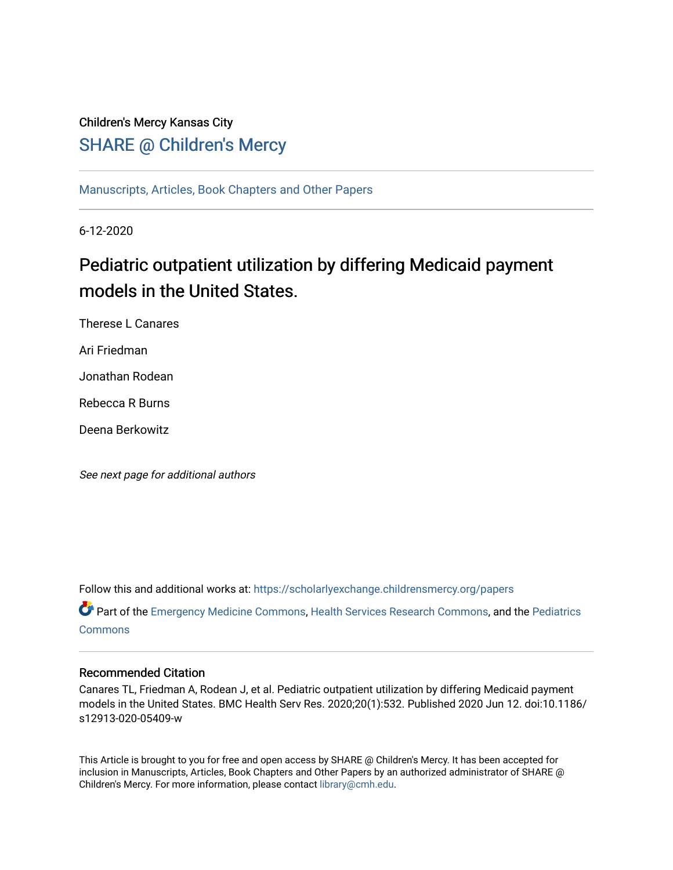# Children's Mercy Kansas City **SHARE @ Children's Mercy**

[Manuscripts, Articles, Book Chapters and Other Papers](https://scholarlyexchange.childrensmercy.org/papers)

6-12-2020

# Pediatric outpatient utilization by differing Medicaid payment models in the United States.

Therese L Canares

Ari Friedman

Jonathan Rodean

Rebecca R Burns

Deena Berkowitz

See next page for additional authors

Follow this and additional works at: [https://scholarlyexchange.childrensmercy.org/papers](https://scholarlyexchange.childrensmercy.org/papers?utm_source=scholarlyexchange.childrensmercy.org%2Fpapers%2F1657&utm_medium=PDF&utm_campaign=PDFCoverPages) 

Part of the [Emergency Medicine Commons](http://network.bepress.com/hgg/discipline/685?utm_source=scholarlyexchange.childrensmercy.org%2Fpapers%2F1657&utm_medium=PDF&utm_campaign=PDFCoverPages), [Health Services Research Commons](http://network.bepress.com/hgg/discipline/816?utm_source=scholarlyexchange.childrensmercy.org%2Fpapers%2F1657&utm_medium=PDF&utm_campaign=PDFCoverPages), and the Pediatrics **[Commons](http://network.bepress.com/hgg/discipline/700?utm_source=scholarlyexchange.childrensmercy.org%2Fpapers%2F1657&utm_medium=PDF&utm_campaign=PDFCoverPages)** 

# Recommended Citation

Canares TL, Friedman A, Rodean J, et al. Pediatric outpatient utilization by differing Medicaid payment models in the United States. BMC Health Serv Res. 2020;20(1):532. Published 2020 Jun 12. doi:10.1186/ s12913-020-05409-w

This Article is brought to you for free and open access by SHARE @ Children's Mercy. It has been accepted for inclusion in Manuscripts, Articles, Book Chapters and Other Papers by an authorized administrator of SHARE @ Children's Mercy. For more information, please contact [library@cmh.edu](mailto:library@cmh.edu).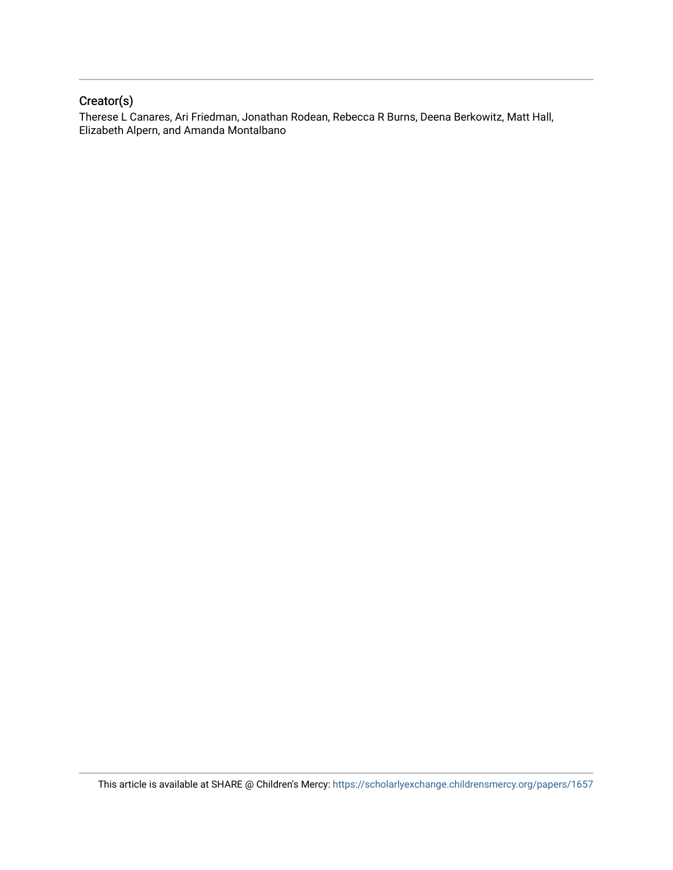# Creator(s)

Therese L Canares, Ari Friedman, Jonathan Rodean, Rebecca R Burns, Deena Berkowitz, Matt Hall, Elizabeth Alpern, and Amanda Montalbano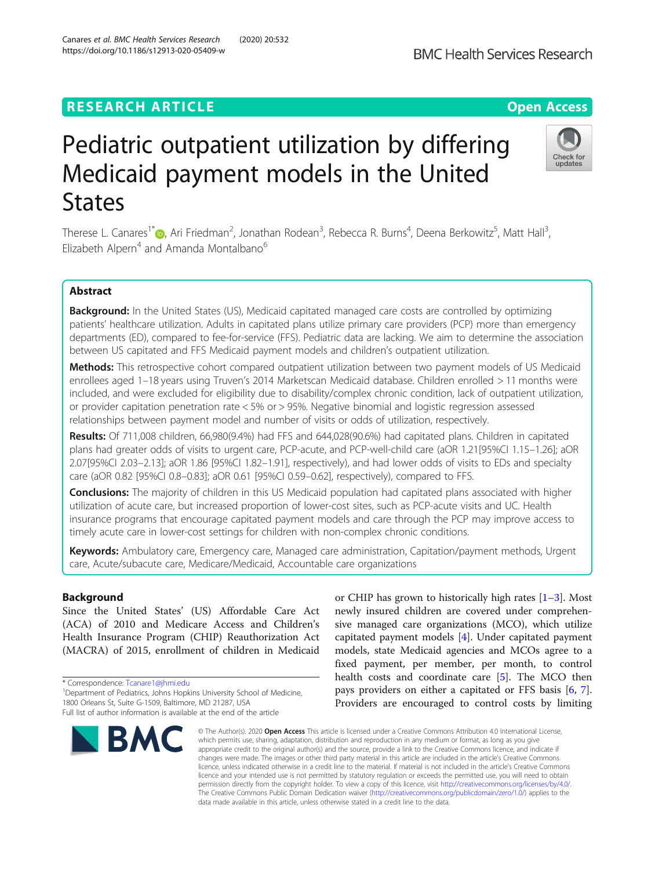# **RESEARCH ARTICLE Example 2014 12:30 The Contract of Contract ACCESS**

# Pediatric outpatient utilization by differing Medicaid payment models in the United **States**

Therese L. Canares<sup>1\*</sup>�[,](http://orcid.org/0000-0001-9877-4028) Ari Friedman<sup>2</sup>, Jonathan Rodean<sup>3</sup>, Rebecca R. Burns<sup>4</sup>, Deena Berkowitz<sup>5</sup>, Matt Hall<sup>3</sup> , Elizabeth Alpern<sup>4</sup> and Amanda Montalbano<sup>6</sup>

# Abstract

Background: In the United States (US), Medicaid capitated managed care costs are controlled by optimizing patients' healthcare utilization. Adults in capitated plans utilize primary care providers (PCP) more than emergency departments (ED), compared to fee-for-service (FFS). Pediatric data are lacking. We aim to determine the association between US capitated and FFS Medicaid payment models and children's outpatient utilization.

Methods: This retrospective cohort compared outpatient utilization between two payment models of US Medicaid enrollees aged 1–18 years using Truven's 2014 Marketscan Medicaid database. Children enrolled > 11 months were included, and were excluded for eligibility due to disability/complex chronic condition, lack of outpatient utilization, or provider capitation penetration rate < 5% or > 95%. Negative binomial and logistic regression assessed relationships between payment model and number of visits or odds of utilization, respectively.

Results: Of 711,008 children, 66,980(9.4%) had FFS and 644,028(90.6%) had capitated plans. Children in capitated plans had greater odds of visits to urgent care, PCP-acute, and PCP-well-child care (aOR 1.21[95%CI 1.15–1.26]; aOR 2.07[95%CI 2.03–2.13]; aOR 1.86 [95%CI 1.82–1.91], respectively), and had lower odds of visits to EDs and specialty care (aOR 0.82 [95%CI 0.8–0.83]; aOR 0.61 [95%CI 0.59–0.62], respectively), compared to FFS.

**Conclusions:** The majority of children in this US Medicaid population had capitated plans associated with higher utilization of acute care, but increased proportion of lower-cost sites, such as PCP-acute visits and UC. Health insurance programs that encourage capitated payment models and care through the PCP may improve access to timely acute care in lower-cost settings for children with non-complex chronic conditions.

Keywords: Ambulatory care, Emergency care, Managed care administration, Capitation/payment methods, Urgent care, Acute/subacute care, Medicare/Medicaid, Accountable care organizations

# Background

Since the United States' (US) Affordable Care Act (ACA) of 2010 and Medicare Access and Children's Health Insurance Program (CHIP) Reauthorization Act (MACRA) of 2015, enrollment of children in Medicaid

\* Correspondence: [Tcanare1@jhmi.edu](mailto:Tcanare1@jhmi.edu) <sup>1</sup>

<sup>1</sup> Department of Pediatrics, Johns Hopkins University School of Medicine,

# newly insured children are covered under comprehensive managed care organizations (MCO), which utilize capitated payment models [[4\]](#page-9-0). Under capitated payment models, state Medicaid agencies and MCOs agree to a fixed payment, per member, per month, to control health costs and coordinate care [[5\]](#page-9-0). The MCO then pays providers on either a capitated or FFS basis [\[6](#page-9-0), [7](#page-9-0)]. Providers are encouraged to control costs by limiting

or CHIP has grown to historically high rates  $[1-3]$  $[1-3]$  $[1-3]$  $[1-3]$ . Most

© The Author(s), 2020 **Open Access** This article is licensed under a Creative Commons Attribution 4.0 International License, which permits use, sharing, adaptation, distribution and reproduction in any medium or format, as long as you give appropriate credit to the original author(s) and the source, provide a link to the Creative Commons licence, and indicate if changes were made. The images or other third party material in this article are included in the article's Creative Commons licence, unless indicated otherwise in a credit line to the material. If material is not included in the article's Creative Commons licence and your intended use is not permitted by statutory regulation or exceeds the permitted use, you will need to obtain permission directly from the copyright holder. To view a copy of this licence, visit [http://creativecommons.org/licenses/by/4.0/.](http://creativecommons.org/licenses/by/4.0/) The Creative Commons Public Domain Dedication waiver [\(http://creativecommons.org/publicdomain/zero/1.0/](http://creativecommons.org/publicdomain/zero/1.0/)) applies to the data made available in this article, unless otherwise stated in a credit line to the data.

1800 Orleans St, Suite G-1509, Baltimore, MD 21287, USA





Full list of author information is available at the end of the article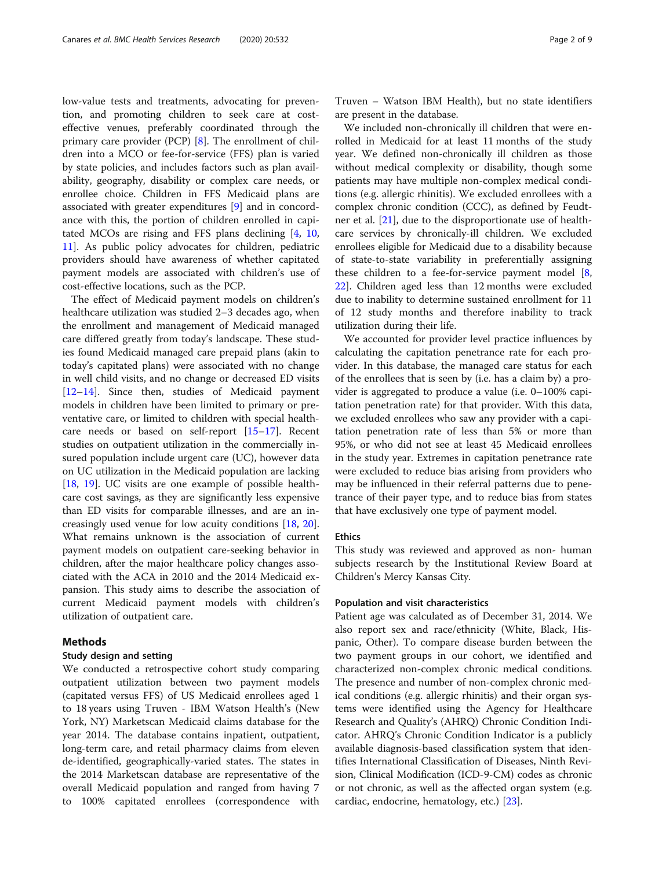low-value tests and treatments, advocating for prevention, and promoting children to seek care at costeffective venues, preferably coordinated through the primary care provider (PCP) [[8\]](#page-9-0). The enrollment of children into a MCO or fee-for-service (FFS) plan is varied by state policies, and includes factors such as plan availability, geography, disability or complex care needs, or enrollee choice. Children in FFS Medicaid plans are associated with greater expenditures [[9\]](#page-9-0) and in concordance with this, the portion of children enrolled in capitated MCOs are rising and FFS plans declining [\[4,](#page-9-0) [10](#page-9-0), [11\]](#page-9-0). As public policy advocates for children, pediatric providers should have awareness of whether capitated payment models are associated with children's use of cost-effective locations, such as the PCP.

The effect of Medicaid payment models on children's healthcare utilization was studied 2–3 decades ago, when the enrollment and management of Medicaid managed care differed greatly from today's landscape. These studies found Medicaid managed care prepaid plans (akin to today's capitated plans) were associated with no change in well child visits, and no change or decreased ED visits [[12](#page-9-0)–[14](#page-9-0)]. Since then, studies of Medicaid payment models in children have been limited to primary or preventative care, or limited to children with special healthcare needs or based on self-report [\[15](#page-9-0)–[17\]](#page-9-0). Recent studies on outpatient utilization in the commercially insured population include urgent care (UC), however data on UC utilization in the Medicaid population are lacking [[18,](#page-9-0) [19\]](#page-9-0). UC visits are one example of possible healthcare cost savings, as they are significantly less expensive than ED visits for comparable illnesses, and are an increasingly used venue for low acuity conditions [\[18,](#page-9-0) [20](#page-9-0)]. What remains unknown is the association of current payment models on outpatient care-seeking behavior in children, after the major healthcare policy changes associated with the ACA in 2010 and the 2014 Medicaid expansion. This study aims to describe the association of current Medicaid payment models with children's utilization of outpatient care.

#### Methods

#### Study design and setting

We conducted a retrospective cohort study comparing outpatient utilization between two payment models (capitated versus FFS) of US Medicaid enrollees aged 1 to 18 years using Truven - IBM Watson Health's (New York, NY) Marketscan Medicaid claims database for the year 2014. The database contains inpatient, outpatient, long-term care, and retail pharmacy claims from eleven de-identified, geographically-varied states. The states in the 2014 Marketscan database are representative of the overall Medicaid population and ranged from having 7 to 100% capitated enrollees (correspondence with

Truven – Watson IBM Health), but no state identifiers are present in the database.

We included non-chronically ill children that were enrolled in Medicaid for at least 11 months of the study year. We defined non-chronically ill children as those without medical complexity or disability, though some patients may have multiple non-complex medical conditions (e.g. allergic rhinitis). We excluded enrollees with a complex chronic condition (CCC), as defined by Feudtner et al. [\[21](#page-9-0)], due to the disproportionate use of healthcare services by chronically-ill children. We excluded enrollees eligible for Medicaid due to a disability because of state-to-state variability in preferentially assigning these children to a fee-for-service payment model  $[8, 8]$  $[8, 8]$ [22\]](#page-9-0). Children aged less than 12 months were excluded due to inability to determine sustained enrollment for 11 of 12 study months and therefore inability to track utilization during their life.

We accounted for provider level practice influences by calculating the capitation penetrance rate for each provider. In this database, the managed care status for each of the enrollees that is seen by (i.e. has a claim by) a provider is aggregated to produce a value (i.e. 0–100% capitation penetration rate) for that provider. With this data, we excluded enrollees who saw any provider with a capitation penetration rate of less than 5% or more than 95%, or who did not see at least 45 Medicaid enrollees in the study year. Extremes in capitation penetrance rate were excluded to reduce bias arising from providers who may be influenced in their referral patterns due to penetrance of their payer type, and to reduce bias from states that have exclusively one type of payment model.

#### Ethics

This study was reviewed and approved as non- human subjects research by the Institutional Review Board at Children's Mercy Kansas City.

#### Population and visit characteristics

Patient age was calculated as of December 31, 2014. We also report sex and race/ethnicity (White, Black, Hispanic, Other). To compare disease burden between the two payment groups in our cohort, we identified and characterized non-complex chronic medical conditions. The presence and number of non-complex chronic medical conditions (e.g. allergic rhinitis) and their organ systems were identified using the Agency for Healthcare Research and Quality's (AHRQ) Chronic Condition Indicator. AHRQ's Chronic Condition Indicator is a publicly available diagnosis-based classification system that identifies International Classification of Diseases, Ninth Revision, Clinical Modification (ICD-9-CM) codes as chronic or not chronic, as well as the affected organ system (e.g. cardiac, endocrine, hematology, etc.) [\[23](#page-9-0)].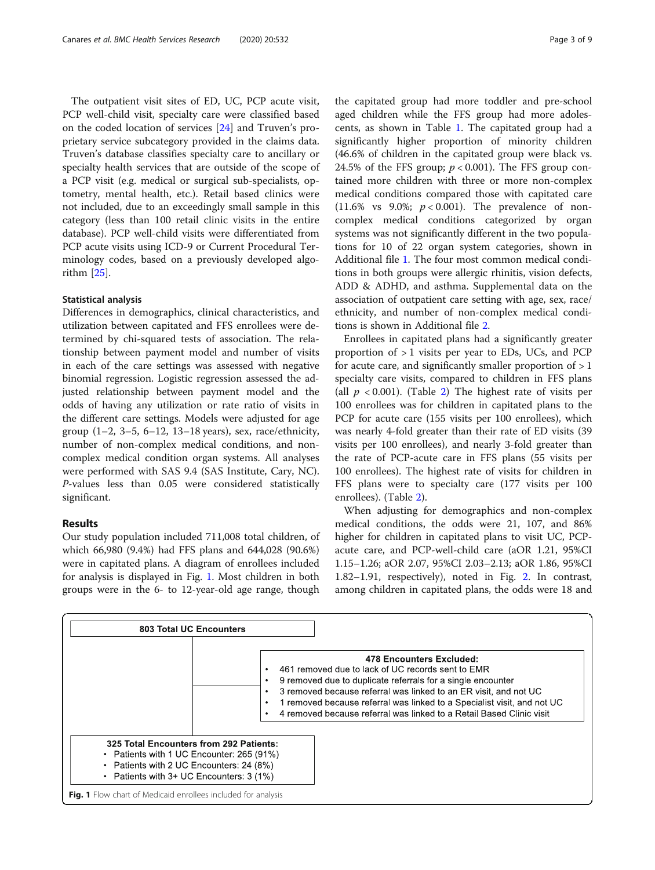The outpatient visit sites of ED, UC, PCP acute visit, PCP well-child visit, specialty care were classified based on the coded location of services [[24](#page-9-0)] and Truven's proprietary service subcategory provided in the claims data. Truven's database classifies specialty care to ancillary or specialty health services that are outside of the scope of a PCP visit (e.g. medical or surgical sub-specialists, optometry, mental health, etc.). Retail based clinics were not included, due to an exceedingly small sample in this category (less than 100 retail clinic visits in the entire database). PCP well-child visits were differentiated from PCP acute visits using ICD-9 or Current Procedural Terminology codes, based on a previously developed algorithm [[25\]](#page-10-0).

#### Statistical analysis

Differences in demographics, clinical characteristics, and utilization between capitated and FFS enrollees were determined by chi-squared tests of association. The relationship between payment model and number of visits in each of the care settings was assessed with negative binomial regression. Logistic regression assessed the adjusted relationship between payment model and the odds of having any utilization or rate ratio of visits in the different care settings. Models were adjusted for age group  $(1-2, 3-5, 6-12, 13-18$  years), sex, race/ethnicity, number of non-complex medical conditions, and noncomplex medical condition organ systems. All analyses were performed with SAS 9.4 (SAS Institute, Cary, NC). P-values less than 0.05 were considered statistically significant.

## Results

Our study population included 711,008 total children, of which 66,980 (9.4%) had FFS plans and 644,028 (90.6%) were in capitated plans. A diagram of enrollees included for analysis is displayed in Fig. 1. Most children in both groups were in the 6- to 12-year-old age range, though

the capitated group had more toddler and pre-school aged children while the FFS group had more adolescents, as shown in Table [1](#page-5-0). The capitated group had a significantly higher proportion of minority children (46.6% of children in the capitated group were black vs. 24.5% of the FFS group;  $p < 0.001$ ). The FFS group contained more children with three or more non-complex medical conditions compared those with capitated care (11.6% vs 9.0%;  $p < 0.001$ ). The prevalence of noncomplex medical conditions categorized by organ systems was not significantly different in the two populations for 10 of 22 organ system categories, shown in Additional file [1.](#page-8-0) The four most common medical conditions in both groups were allergic rhinitis, vision defects, ADD & ADHD, and asthma. Supplemental data on the association of outpatient care setting with age, sex, race/ ethnicity, and number of non-complex medical conditions is shown in Additional file [2.](#page-8-0)

Enrollees in capitated plans had a significantly greater proportion of  $> 1$  visits per year to EDs, UCs, and PCP for acute care, and significantly smaller proportion of  $>1$ specialty care visits, compared to children in FFS plans (all  $p < 0.001$ ). (Table [2\)](#page-6-0) The highest rate of visits per 100 enrollees was for children in capitated plans to the PCP for acute care (155 visits per 100 enrollees), which was nearly 4-fold greater than their rate of ED visits (39 visits per 100 enrollees), and nearly 3-fold greater than the rate of PCP-acute care in FFS plans (55 visits per 100 enrollees). The highest rate of visits for children in FFS plans were to specialty care (177 visits per 100 enrollees). (Table [2](#page-6-0)).

When adjusting for demographics and non-complex medical conditions, the odds were 21, 107, and 86% higher for children in capitated plans to visit UC, PCPacute care, and PCP-well-child care (aOR 1.21, 95%CI 1.15–1.26; aOR 2.07, 95%CI 2.03–2.13; aOR 1.86, 95%CI 1.82–1.91, respectively), noted in Fig. [2](#page-7-0). In contrast, among children in capitated plans, the odds were 18 and

| <b>803 Total UC Encounters</b>                                                                                                                                                                                                            |                                                                                                                                                                                                                                                                                                                                                                     |  |  |  |
|-------------------------------------------------------------------------------------------------------------------------------------------------------------------------------------------------------------------------------------------|---------------------------------------------------------------------------------------------------------------------------------------------------------------------------------------------------------------------------------------------------------------------------------------------------------------------------------------------------------------------|--|--|--|
|                                                                                                                                                                                                                                           | 478 Encounters Excluded:<br>461 removed due to lack of UC records sent to EMR<br>9 removed due to duplicate referrals for a single encounter<br>3 removed because referral was linked to an ER visit, and not UC<br>1 removed because referral was linked to a Specialist visit, and not UC<br>4 removed because referral was linked to a Retail Based Clinic visit |  |  |  |
| 325 Total Encounters from 292 Patients:<br>• Patients with 1 UC Encounter: 265 (91%)<br>Patients with 2 UC Encounters: 24 (8%)<br>Patients with 3+ UC Encounters: 3 (1%)<br>Fig. 1 Flow chart of Medicaid enrollees included for analysis |                                                                                                                                                                                                                                                                                                                                                                     |  |  |  |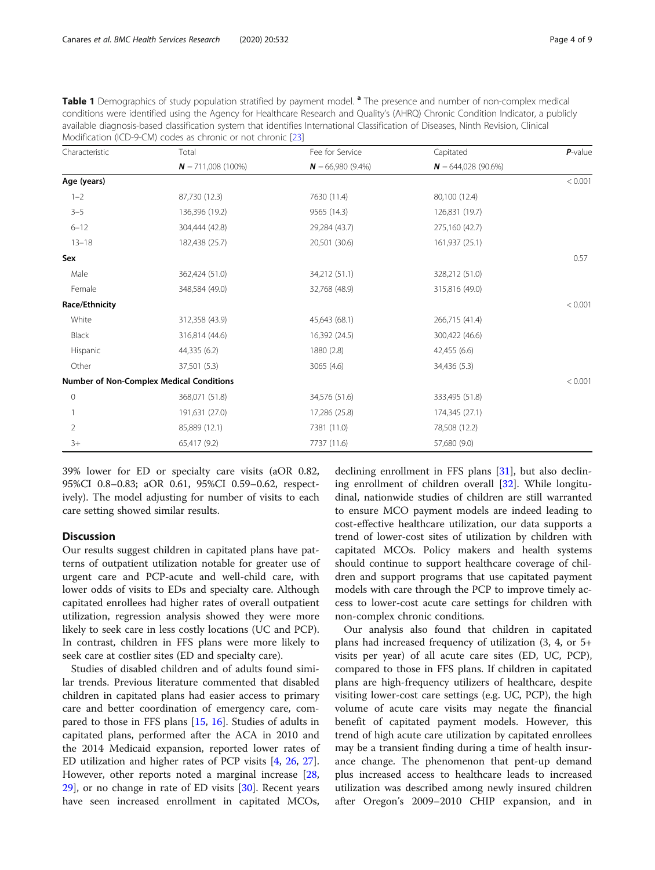<span id="page-5-0"></span>

| Table 1 Demographics of study population stratified by payment model. <sup>a</sup> The presence and number of non-complex medical  |
|------------------------------------------------------------------------------------------------------------------------------------|
| conditions were identified using the Agency for Healthcare Research and Quality's (AHRQ) Chronic Condition Indicator, a publicly   |
| available diagnosis-based classification system that identifies International Classification of Diseases, Ninth Revision, Clinical |
| Modification (ICD-9-CM) codes as chronic or not chronic [23]                                                                       |

| Characteristic | Total                                           | Fee for Service      | Capitated            | $P$ -value |
|----------------|-------------------------------------------------|----------------------|----------------------|------------|
|                | $N = 711,008(100\%)$                            | $N = 66,980 (9.4\%)$ | $N = 644,028(90.6%)$ |            |
| Age (years)    |                                                 |                      |                      | < 0.001    |
| $1 - 2$        | 87,730 (12.3)                                   | 7630 (11.4)          | 80,100 (12.4)        |            |
| $3 - 5$        | 136,396 (19.2)                                  | 9565 (14.3)          | 126,831 (19.7)       |            |
| $6 - 12$       | 304,444 (42.8)                                  | 29,284 (43.7)        | 275,160 (42.7)       |            |
| $13 - 18$      | 182,438 (25.7)                                  | 20,501 (30.6)        | 161,937 (25.1)       |            |
| Sex            |                                                 |                      |                      | 0.57       |
| Male           | 362,424 (51.0)                                  | 34,212 (51.1)        | 328,212 (51.0)       |            |
| Female         | 348,584 (49.0)                                  | 32,768 (48.9)        | 315,816 (49.0)       |            |
| Race/Ethnicity |                                                 |                      |                      | < 0.001    |
| White          | 312,358 (43.9)                                  | 45,643 (68.1)        | 266,715 (41.4)       |            |
| Black          | 316,814 (44.6)                                  | 16,392 (24.5)        | 300,422 (46.6)       |            |
| Hispanic       | 44,335 (6.2)                                    | 1880 (2.8)           | 42,455 (6.6)         |            |
| Other          | 37,501 (5.3)                                    | 3065 (4.6)           | 34,436 (5.3)         |            |
|                | <b>Number of Non-Complex Medical Conditions</b> |                      |                      | < 0.001    |
| $\mathbf 0$    | 368,071 (51.8)                                  | 34,576 (51.6)        | 333,495 (51.8)       |            |
|                | 191,631 (27.0)                                  | 17,286 (25.8)        | 174,345 (27.1)       |            |
| 2              | 85,889 (12.1)                                   | 7381 (11.0)          | 78,508 (12.2)        |            |
| $3+$           | 65,417 (9.2)                                    | 7737 (11.6)          | 57,680 (9.0)         |            |

39% lower for ED or specialty care visits (aOR 0.82, 95%CI 0.8–0.83; aOR 0.61, 95%CI 0.59–0.62, respectively). The model adjusting for number of visits to each care setting showed similar results.

# **Discussion**

Our results suggest children in capitated plans have patterns of outpatient utilization notable for greater use of urgent care and PCP-acute and well-child care, with lower odds of visits to EDs and specialty care. Although capitated enrollees had higher rates of overall outpatient utilization, regression analysis showed they were more likely to seek care in less costly locations (UC and PCP). In contrast, children in FFS plans were more likely to seek care at costlier sites (ED and specialty care).

Studies of disabled children and of adults found similar trends. Previous literature commented that disabled children in capitated plans had easier access to primary care and better coordination of emergency care, compared to those in FFS plans [\[15,](#page-9-0) [16](#page-9-0)]. Studies of adults in capitated plans, performed after the ACA in 2010 and the 2014 Medicaid expansion, reported lower rates of ED utilization and higher rates of PCP visits [\[4](#page-9-0), [26,](#page-10-0) [27](#page-10-0)]. However, other reports noted a marginal increase [[28](#page-10-0),  $29$ , or no change in rate of ED visits  $[30]$  $[30]$ . Recent years have seen increased enrollment in capitated MCOs, declining enrollment in FFS plans [\[31\]](#page-10-0), but also declining enrollment of children overall [\[32\]](#page-10-0). While longitudinal, nationwide studies of children are still warranted to ensure MCO payment models are indeed leading to cost-effective healthcare utilization, our data supports a trend of lower-cost sites of utilization by children with capitated MCOs. Policy makers and health systems should continue to support healthcare coverage of children and support programs that use capitated payment models with care through the PCP to improve timely access to lower-cost acute care settings for children with non-complex chronic conditions.

Our analysis also found that children in capitated plans had increased frequency of utilization (3, 4, or 5+ visits per year) of all acute care sites (ED, UC, PCP), compared to those in FFS plans. If children in capitated plans are high-frequency utilizers of healthcare, despite visiting lower-cost care settings (e.g. UC, PCP), the high volume of acute care visits may negate the financial benefit of capitated payment models. However, this trend of high acute care utilization by capitated enrollees may be a transient finding during a time of health insurance change. The phenomenon that pent-up demand plus increased access to healthcare leads to increased utilization was described among newly insured children after Oregon's 2009–2010 CHIP expansion, and in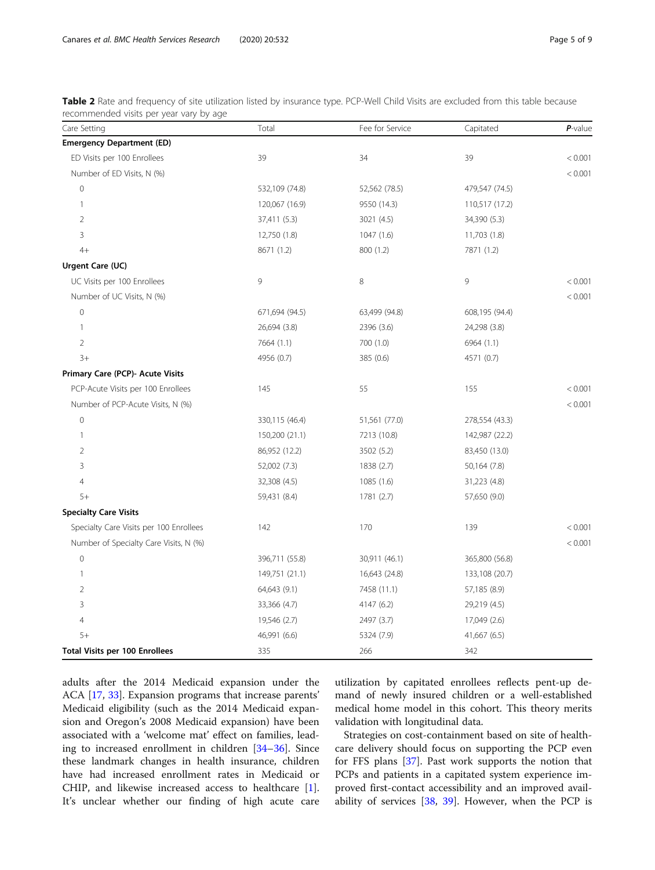<span id="page-6-0"></span>Table 2 Rate and frequency of site utilization listed by insurance type. PCP-Well Child Visits are excluded from this table because recommended visits per year vary by age

| Care Setting                            | Total          | Fee for Service | Capitated      | $P$ -value |
|-----------------------------------------|----------------|-----------------|----------------|------------|
| <b>Emergency Department (ED)</b>        |                |                 |                |            |
| ED Visits per 100 Enrollees             | 39             | 34              | 39             | < 0.001    |
| Number of ED Visits, N (%)              |                |                 |                | < 0.001    |
| $\mathbf 0$                             | 532,109 (74.8) | 52,562 (78.5)   | 479,547 (74.5) |            |
| $\mathbf{1}$                            | 120,067 (16.9) | 9550 (14.3)     | 110,517 (17.2) |            |
| $\overline{2}$                          | 37,411 (5.3)   | 3021 (4.5)      | 34,390 (5.3)   |            |
| 3                                       | 12,750 (1.8)   | 1047(1.6)       | 11,703 (1.8)   |            |
| $4+$                                    | 8671 (1.2)     | 800 (1.2)       | 7871 (1.2)     |            |
| Urgent Care (UC)                        |                |                 |                |            |
| UC Visits per 100 Enrollees             | 9              | 8               | 9              | < 0.001    |
| Number of UC Visits, N (%)              |                |                 |                | < 0.001    |
| $\mathbf 0$                             | 671,694 (94.5) | 63,499 (94.8)   | 608,195 (94.4) |            |
| $\mathbf{1}$                            | 26,694 (3.8)   | 2396 (3.6)      | 24,298 (3.8)   |            |
| 2                                       | 7664 (1.1)     | 700 (1.0)       | 6964 (1.1)     |            |
| $3+$                                    | 4956 (0.7)     | 385 (0.6)       | 4571 (0.7)     |            |
| Primary Care (PCP)- Acute Visits        |                |                 |                |            |
| PCP-Acute Visits per 100 Enrollees      | 145            | 55              | 155            | < 0.001    |
| Number of PCP-Acute Visits, N (%)       |                |                 |                | < 0.001    |
| $\overline{0}$                          | 330,115 (46.4) | 51,561 (77.0)   | 278,554 (43.3) |            |
| $\mathbf{1}$                            | 150,200 (21.1) | 7213 (10.8)     | 142,987 (22.2) |            |
| $\overline{2}$                          | 86,952 (12.2)  | 3502 (5.2)      | 83,450 (13.0)  |            |
| 3                                       | 52,002 (7.3)   | 1838 (2.7)      | 50,164 (7.8)   |            |
| 4                                       | 32,308 (4.5)   | 1085 (1.6)      | 31,223 (4.8)   |            |
| $5+$                                    | 59,431 (8.4)   | 1781 (2.7)      | 57,650 (9.0)   |            |
| <b>Specialty Care Visits</b>            |                |                 |                |            |
| Specialty Care Visits per 100 Enrollees | 142            | 170             | 139            | < 0.001    |
| Number of Specialty Care Visits, N (%)  |                |                 |                | < 0.001    |
| $\mathbf 0$                             | 396,711 (55.8) | 30,911 (46.1)   | 365,800 (56.8) |            |
| 1                                       | 149,751 (21.1) | 16,643 (24.8)   | 133,108 (20.7) |            |
| 2                                       | 64,643 (9.1)   | 7458 (11.1)     | 57,185 (8.9)   |            |
| 3                                       | 33,366 (4.7)   | 4147 (6.2)      | 29,219 (4.5)   |            |
| $\overline{4}$                          | 19,546 (2.7)   | 2497 (3.7)      | 17,049 (2.6)   |            |
| $5+$                                    | 46,991 (6.6)   | 5324 (7.9)      | 41,667 (6.5)   |            |
| <b>Total Visits per 100 Enrollees</b>   | 335            | 266             | 342            |            |

adults after the 2014 Medicaid expansion under the ACA [\[17](#page-9-0), [33](#page-10-0)]. Expansion programs that increase parents' Medicaid eligibility (such as the 2014 Medicaid expansion and Oregon's 2008 Medicaid expansion) have been associated with a 'welcome mat' effect on families, leading to increased enrollment in children [\[34](#page-10-0)–[36\]](#page-10-0). Since these landmark changes in health insurance, children have had increased enrollment rates in Medicaid or CHIP, and likewise increased access to healthcare [\[1](#page-9-0)]. It's unclear whether our finding of high acute care

utilization by capitated enrollees reflects pent-up demand of newly insured children or a well-established medical home model in this cohort. This theory merits validation with longitudinal data.

Strategies on cost-containment based on site of healthcare delivery should focus on supporting the PCP even for FFS plans [\[37\]](#page-10-0). Past work supports the notion that PCPs and patients in a capitated system experience improved first-contact accessibility and an improved availability of services [\[38,](#page-10-0) [39](#page-10-0)]. However, when the PCP is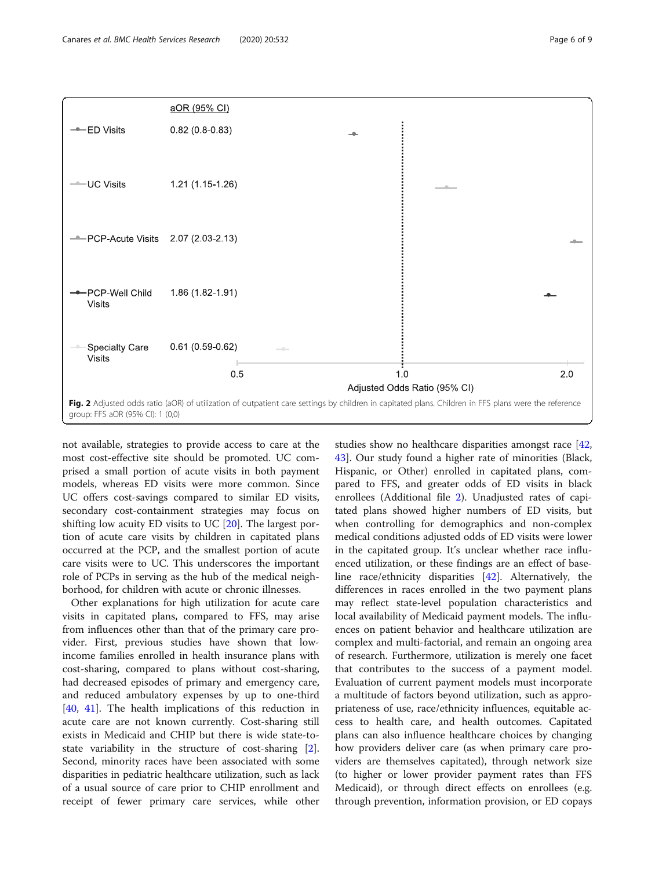not available, strategies to provide access to care at the most cost-effective site should be promoted. UC comprised a small portion of acute visits in both payment models, whereas ED visits were more common. Since UC offers cost-savings compared to similar ED visits, secondary cost-containment strategies may focus on shifting low acuity ED visits to UC [[20](#page-9-0)]. The largest portion of acute care visits by children in capitated plans occurred at the PCP, and the smallest portion of acute care visits were to UC. This underscores the important role of PCPs in serving as the hub of the medical neighborhood, for children with acute or chronic illnesses.

Other explanations for high utilization for acute care visits in capitated plans, compared to FFS, may arise from influences other than that of the primary care provider. First, previous studies have shown that lowincome families enrolled in health insurance plans with cost-sharing, compared to plans without cost-sharing, had decreased episodes of primary and emergency care, and reduced ambulatory expenses by up to one-third [[40,](#page-10-0) [41\]](#page-10-0). The health implications of this reduction in acute care are not known currently. Cost-sharing still exists in Medicaid and CHIP but there is wide state-tostate variability in the structure of cost-sharing [\[2](#page-9-0)]. Second, minority races have been associated with some disparities in pediatric healthcare utilization, such as lack of a usual source of care prior to CHIP enrollment and receipt of fewer primary care services, while other

studies show no healthcare disparities amongst race [[42](#page-10-0), [43\]](#page-10-0). Our study found a higher rate of minorities (Black, Hispanic, or Other) enrolled in capitated plans, compared to FFS, and greater odds of ED visits in black enrollees (Additional file [2](#page-8-0)). Unadjusted rates of capitated plans showed higher numbers of ED visits, but when controlling for demographics and non-complex medical conditions adjusted odds of ED visits were lower in the capitated group. It's unclear whether race influenced utilization, or these findings are an effect of baseline race/ethnicity disparities [[42\]](#page-10-0). Alternatively, the differences in races enrolled in the two payment plans may reflect state-level population characteristics and local availability of Medicaid payment models. The influences on patient behavior and healthcare utilization are complex and multi-factorial, and remain an ongoing area of research. Furthermore, utilization is merely one facet that contributes to the success of a payment model. Evaluation of current payment models must incorporate a multitude of factors beyond utilization, such as appropriateness of use, race/ethnicity influences, equitable access to health care, and health outcomes. Capitated plans can also influence healthcare choices by changing how providers deliver care (as when primary care providers are themselves capitated), through network size (to higher or lower provider payment rates than FFS Medicaid), or through direct effects on enrollees (e.g. through prevention, information provision, or ED copays

<span id="page-7-0"></span>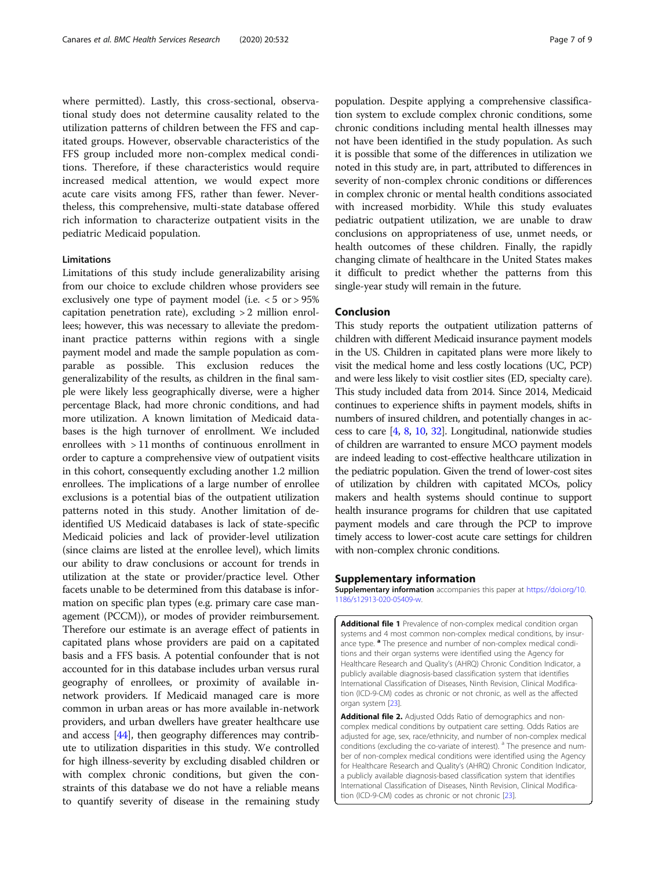<span id="page-8-0"></span>where permitted). Lastly, this cross-sectional, observational study does not determine causality related to the utilization patterns of children between the FFS and capitated groups. However, observable characteristics of the FFS group included more non-complex medical conditions. Therefore, if these characteristics would require increased medical attention, we would expect more acute care visits among FFS, rather than fewer. Nevertheless, this comprehensive, multi-state database offered rich information to characterize outpatient visits in the pediatric Medicaid population.

#### Limitations

Limitations of this study include generalizability arising from our choice to exclude children whose providers see exclusively one type of payment model (i.e. < 5 or > 95% capitation penetration rate), excluding > 2 million enrollees; however, this was necessary to alleviate the predominant practice patterns within regions with a single payment model and made the sample population as comparable as possible. This exclusion reduces the generalizability of the results, as children in the final sample were likely less geographically diverse, were a higher percentage Black, had more chronic conditions, and had more utilization. A known limitation of Medicaid databases is the high turnover of enrollment. We included enrollees with > 11 months of continuous enrollment in order to capture a comprehensive view of outpatient visits in this cohort, consequently excluding another 1.2 million enrollees. The implications of a large number of enrollee exclusions is a potential bias of the outpatient utilization patterns noted in this study. Another limitation of deidentified US Medicaid databases is lack of state-specific Medicaid policies and lack of provider-level utilization (since claims are listed at the enrollee level), which limits our ability to draw conclusions or account for trends in utilization at the state or provider/practice level. Other facets unable to be determined from this database is information on specific plan types (e.g. primary care case management (PCCM)), or modes of provider reimbursement. Therefore our estimate is an average effect of patients in capitated plans whose providers are paid on a capitated basis and a FFS basis. A potential confounder that is not accounted for in this database includes urban versus rural geography of enrollees, or proximity of available innetwork providers. If Medicaid managed care is more common in urban areas or has more available in-network providers, and urban dwellers have greater healthcare use and access [\[44](#page-10-0)], then geography differences may contribute to utilization disparities in this study. We controlled for high illness-severity by excluding disabled children or with complex chronic conditions, but given the constraints of this database we do not have a reliable means to quantify severity of disease in the remaining study

population. Despite applying a comprehensive classification system to exclude complex chronic conditions, some chronic conditions including mental health illnesses may not have been identified in the study population. As such it is possible that some of the differences in utilization we noted in this study are, in part, attributed to differences in severity of non-complex chronic conditions or differences in complex chronic or mental health conditions associated with increased morbidity. While this study evaluates pediatric outpatient utilization, we are unable to draw conclusions on appropriateness of use, unmet needs, or health outcomes of these children. Finally, the rapidly changing climate of healthcare in the United States makes it difficult to predict whether the patterns from this single-year study will remain in the future.

## Conclusion

This study reports the outpatient utilization patterns of children with different Medicaid insurance payment models in the US. Children in capitated plans were more likely to visit the medical home and less costly locations (UC, PCP) and were less likely to visit costlier sites (ED, specialty care). This study included data from 2014. Since 2014, Medicaid continues to experience shifts in payment models, shifts in numbers of insured children, and potentially changes in access to care [\[4](#page-9-0), [8](#page-9-0), [10,](#page-9-0) [32\]](#page-10-0). Longitudinal, nationwide studies of children are warranted to ensure MCO payment models are indeed leading to cost-effective healthcare utilization in the pediatric population. Given the trend of lower-cost sites of utilization by children with capitated MCOs, policy makers and health systems should continue to support health insurance programs for children that use capitated payment models and care through the PCP to improve timely access to lower-cost acute care settings for children with non-complex chronic conditions.

#### Supplementary information

Supplementary information accompanies this paper at [https://doi.org/10.](https://doi.org/10.1186/s12913-020-05409-w) [1186/s12913-020-05409-w](https://doi.org/10.1186/s12913-020-05409-w).

Additional file 1 Prevalence of non-complex medical condition organ systems and 4 most common non-complex medical conditions, by insurance type.<sup>a</sup> The presence and number of non-complex medical conditions and their organ systems were identified using the Agency for Healthcare Research and Quality's (AHRQ) Chronic Condition Indicator, a publicly available diagnosis-based classification system that identifies International Classification of Diseases, Ninth Revision, Clinical Modification (ICD-9-CM) codes as chronic or not chronic, as well as the affected organ system [[23\]](#page-9-0).

Additional file 2. Adjusted Odds Ratio of demographics and noncomplex medical conditions by outpatient care setting. Odds Ratios are adjusted for age, sex, race/ethnicity, and number of non-complex medical conditions (excluding the co-variate of interest). <sup>a</sup> The presence and number of non-complex medical conditions were identified using the Agency for Healthcare Research and Quality's (AHRQ) Chronic Condition Indicator, a publicly available diagnosis-based classification system that identifies International Classification of Diseases, Ninth Revision, Clinical Modification (ICD-9-CM) codes as chronic or not chronic [\[23](#page-9-0)].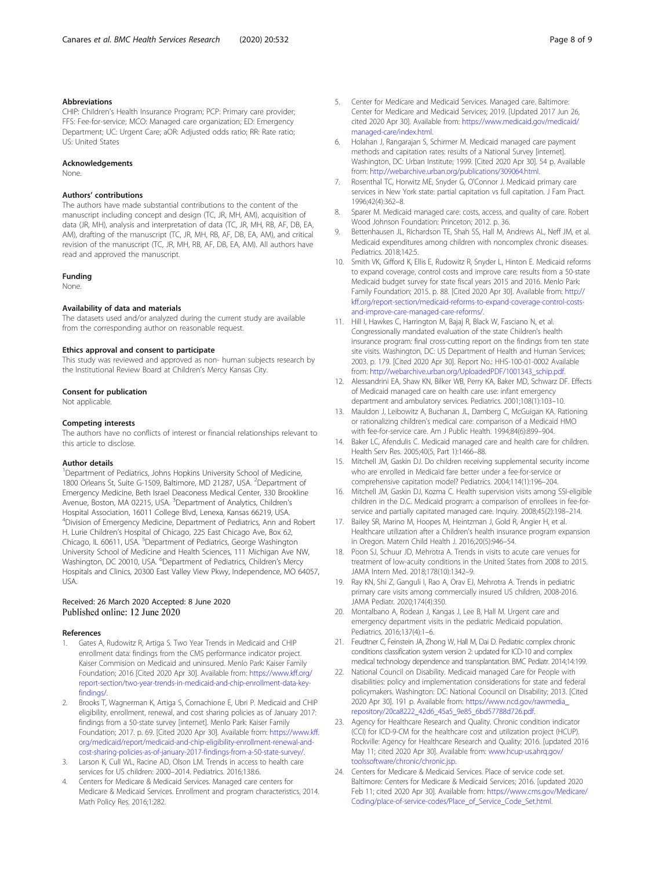#### <span id="page-9-0"></span>Abbreviations

CHIP: Children's Health Insurance Program; PCP: Primary care provider; FFS: Fee-for-service; MCO: Managed care organization; ED: Emergency Department; UC: Urgent Care; aOR: Adjusted odds ratio; RR: Rate ratio; US: United States

#### Acknowledgements

None.

#### Authors' contributions

The authors have made substantial contributions to the content of the manuscript including concept and design (TC, JR, MH, AM), acquisition of data (JR, MH), analysis and interpretation of data (TC, JR, MH, RB, AF, DB, EA, AM), drafting of the manuscript (TC, JR, MH, RB, AF, DB, EA, AM), and critical revision of the manuscript (TC, JR, MH, RB, AF, DB, EA, AM). All authors have read and approved the manuscript.

#### Funding

None.

#### Availability of data and materials

The datasets used and/or analyzed during the current study are available from the corresponding author on reasonable request.

#### Ethics approval and consent to participate

This study was reviewed and approved as non- human subjects research by the Institutional Review Board at Children's Mercy Kansas City.

#### Consent for publication

Not applicable.

#### Competing interests

The authors have no conflicts of interest or financial relationships relevant to this article to disclose.

#### Author details

<sup>1</sup>Department of Pediatrics, Johns Hopkins University School of Medicine, 1800 Orleans St, Suite G-1509, Baltimore, MD 21287, USA. <sup>2</sup>Department of Emergency Medicine, Beth Israel Deaconess Medical Center, 330 Brookline Avenue, Boston, MA 02215, USA. <sup>3</sup>Department of Analytics, Children's Hospital Association, 16011 College Blvd, Lenexa, Kansas 66219, USA. 4 Division of Emergency Medicine, Department of Pediatrics, Ann and Robert H. Lurie Children's Hospital of Chicago, 225 East Chicago Ave, Box 62, Chicago, IL 60611, USA. <sup>5</sup>Department of Pediatrics, George Washington University School of Medicine and Health Sciences, 111 Michigan Ave NW,<br>Washington, DC 20010, USA. <sup>6</sup>Department of Pediatrics, Children's Mercy Hospitals and Clinics, 20300 East Valley View Pkwy, Independence, MO 64057, USA.

### Received: 26 March 2020 Accepted: 8 June 2020 Published online: 12 June 2020

#### References

- Gates A, Rudowitz R, Artiga S. Two Year Trends in Medicaid and CHIP enrollment data: findings from the CMS performance indicator project. Kaiser Commision on Medicaid and uninsured. Menlo Park: Kaiser Family Foundation; 2016 [Cited 2020 Apr 30]. Available from: [https://www.kff.org/](https://www.kff.org/report-section/two-year-trends-in-medicaid-and-chip-enrollment-data-key-findings/) [report-section/two-year-trends-in-medicaid-and-chip-enrollment-data-key](https://www.kff.org/report-section/two-year-trends-in-medicaid-and-chip-enrollment-data-key-findings/)[findings/.](https://www.kff.org/report-section/two-year-trends-in-medicaid-and-chip-enrollment-data-key-findings/)
- 2. Brooks T, Wagnerman K, Artiga S, Cornachione E, Ubri P. Medicaid and CHIP eligibility, enrollment, renewal, and cost sharing policies as of January 2017: findings from a 50-state survey [internet]. Menlo Park: Kaiser Family Foundation; 2017. p. 69. [Cited 2020 Apr 30]. Available from: [https://www.kff.](https://www.kff.org/medicaid/report/medicaid-and-chip-eligibility-enrollment-renewal-and-cost-sharing-policies-as-of-january-2017-findings-from-a-50-state-survey/) [org/medicaid/report/medicaid-and-chip-eligibility-enrollment-renewal-and](https://www.kff.org/medicaid/report/medicaid-and-chip-eligibility-enrollment-renewal-and-cost-sharing-policies-as-of-january-2017-findings-from-a-50-state-survey/)[cost-sharing-policies-as-of-january-2017-findings-from-a-50-state-survey/](https://www.kff.org/medicaid/report/medicaid-and-chip-eligibility-enrollment-renewal-and-cost-sharing-policies-as-of-january-2017-findings-from-a-50-state-survey/).
- Larson K, Cull WL, Racine AD, Olson LM. Trends in access to health care services for US children: 2000–2014. Pediatrics. 2016;138:6.
- 4. Centers for Medicare & Medicaid Services. Managed care centers for Medicare & Medicaid Services. Enrollment and program characteristics, 2014. Math Policy Res. 2016;1:282.
- 5. Center for Medicare and Medicaid Services. Managed care. Baltimore: Center for Medicare and Medicaid Services; 2019. [Updated 2017 Jun 26, cited 2020 Apr 30]. Available from: [https://www.medicaid.gov/medicaid/](https://www.medicaid.gov/medicaid/managed-care/index.html) [managed-care/index.html](https://www.medicaid.gov/medicaid/managed-care/index.html).
- 6. Holahan J, Rangarajan S, Schirmer M. Medicaid managed care payment methods and capitation rates: results of a National Survey [internet]. Washington, DC: Urban Institute; 1999. [Cited 2020 Apr 30]. 54 p. Available from: <http://webarchive.urban.org/publications/309064.html>.
- 7. Rosenthal TC, Horwitz ME, Snyder G, O'Connor J. Medicaid primary care services in New York state: partial capitation vs full capitation. J Fam Pract. 1996;42(4):362–8.
- 8. Sparer M. Medicaid managed care: costs, access, and quality of care. Robert Wood Johnson Foundation: Princeton; 2012. p. 36.
- 9. Bettenhausen JL, Richardson TE, Shah SS, Hall M, Andrews AL, Neff JM, et al. Medicaid expenditures among children with noncomplex chronic diseases. Pediatrics. 2018;142:5.
- 10. Smith VK, Gifford K, Ellis E, Rudowitz R, Snyder L, Hinton E. Medicaid reforms to expand coverage, control costs and improve care: results from a 50-state Medicaid budget survey for state fiscal years 2015 and 2016. Menlo Park: Family Foundation; 2015. p. 88. [Cited 2020 Apr 30]. Available from: [http://](http://kff.org/report-section/medicaid-reforms-to-expand-coverage-control-costs-and-improve-care-managed-care-reforms/) [kff.org/report-section/medicaid-reforms-to-expand-coverage-control-costs](http://kff.org/report-section/medicaid-reforms-to-expand-coverage-control-costs-and-improve-care-managed-care-reforms/)[and-improve-care-managed-care-reforms/](http://kff.org/report-section/medicaid-reforms-to-expand-coverage-control-costs-and-improve-care-managed-care-reforms/).
- 11. Hill I, Hawkes C, Harrington M, Bajaj R, Black W, Fasciano N, et al. Congressionally mandated evaluation of the state Children's health insurance program: final cross-cutting report on the findings from ten state site visits. Washington, DC: US Department of Health and Human Services; 2003. p. 179. [Cited 2020 Apr 30]. Report No.: HHS-100-01-0002 Available from: [http://webarchive.urban.org/UploadedPDF/1001343\\_schip.pdf](http://webarchive.urban.org/UploadedPDF/1001343_schip.pdf).
- 12. Alessandrini EA, Shaw KN, Bilker WB, Perry KA, Baker MD, Schwarz DF. Effects of Medicaid managed care on health care use: infant emergency department and ambulatory services. Pediatrics. 2001;108(1):103–10.
- 13. Mauldon J, Leibowitz A, Buchanan JL, Damberg C, McGuigan KA. Rationing or rationalizing children's medical care: comparison of a Medicaid HMO with fee-for-service care. Am J Public Health. 1994;84(6):899–904.
- 14. Baker LC, Afendulis C. Medicaid managed care and health care for children. Health Serv Res. 2005;40(5, Part 1):1466–88.
- 15. Mitchell JM, Gaskin DJ. Do children receiving supplemental security income who are enrolled in Medicaid fare better under a fee-for-service or comprehensive capitation model? Pediatrics. 2004;114(1):196–204.
- 16. Mitchell JM, Gaskin DJ, Kozma C. Health supervision visits among SSI-eligible children in the D.C. Medicaid program: a comparison of enrollees in fee-forservice and partially capitated managed care. Inquiry. 2008;45(2):198–214.
- 17. Bailey SR, Marino M, Hoopes M, Heintzman J, Gold R, Angier H, et al. Healthcare utilization after a Children's health insurance program expansion in Oregon. Matern Child Health J. 2016;20(5):946–54.
- 18. Poon SJ, Schuur JD, Mehrotra A. Trends in visits to acute care venues for treatment of low-acuity conditions in the United States from 2008 to 2015. JAMA Intern Med. 2018;178(10):1342–9.
- 19. Ray KN, Shi Z, Ganguli I, Rao A, Orav EJ, Mehrotra A. Trends in pediatric primary care visits among commercially insured US children, 2008-2016. JAMA Pediatr. 2020;174(4):350.
- 20. Montalbano A, Rodean J, Kangas J, Lee B, Hall M. Urgent care and emergency department visits in the pediatric Medicaid population. Pediatrics. 2016;137(4):1–6.
- 21. Feudtner C, Feinstein JA, Zhong W, Hall M, Dai D. Pediatric complex chronic conditions classification system version 2: updated for ICD-10 and complex medical technology dependence and transplantation. BMC Pediatr. 2014;14:199.
- 22. National Council on Disability. Medicaid managed Care for People with disabilities: policy and implementation considerations for state and federal policymakers. Washington: DC: National Coouncil on Disability; 2013. [Cited 2020 Apr 30]. 191 p. Available from: [https://www.ncd.gov/rawmedia\\_](https://www.ncd.gov/rawmedia_repository/20ca8222_42d6_45a5_9e85_6bd57788d726.pdf) [repository/20ca8222\\_42d6\\_45a5\\_9e85\\_6bd57788d726.pdf.](https://www.ncd.gov/rawmedia_repository/20ca8222_42d6_45a5_9e85_6bd57788d726.pdf)
- 23. Agency for Healthcare Research and Quality. Chronic condition indicator (CCI) for ICD-9-CM for the healthcare cost and utilization project (HCUP). Rockville: Agency for Healthcare Research and Quality; 2016. [updated 2016 May 11; cited 2020 Apr 30]. Available from: [www.hcup-us.ahrq.gov/](http://www.hcup-us.ahrq.gov/toolssoftware/chronic/chronic.jsp) [toolssoftware/chronic/chronic.jsp](http://www.hcup-us.ahrq.gov/toolssoftware/chronic/chronic.jsp).
- 24. Centers for Medicare & Medicaid Services. Place of service code set. Baltimore: Centers for Medicare & Medicaid Services; 2016. [updated 2020 Feb 11; cited 2020 Apr 30]. Available from: [https://www.cms.gov/Medicare/](https://www.cms.gov/Medicare/Coding/place-of-service-codes/Place_of_Service_Code_Set.html) [Coding/place-of-service-codes/Place\\_of\\_Service\\_Code\\_Set.html](https://www.cms.gov/Medicare/Coding/place-of-service-codes/Place_of_Service_Code_Set.html).